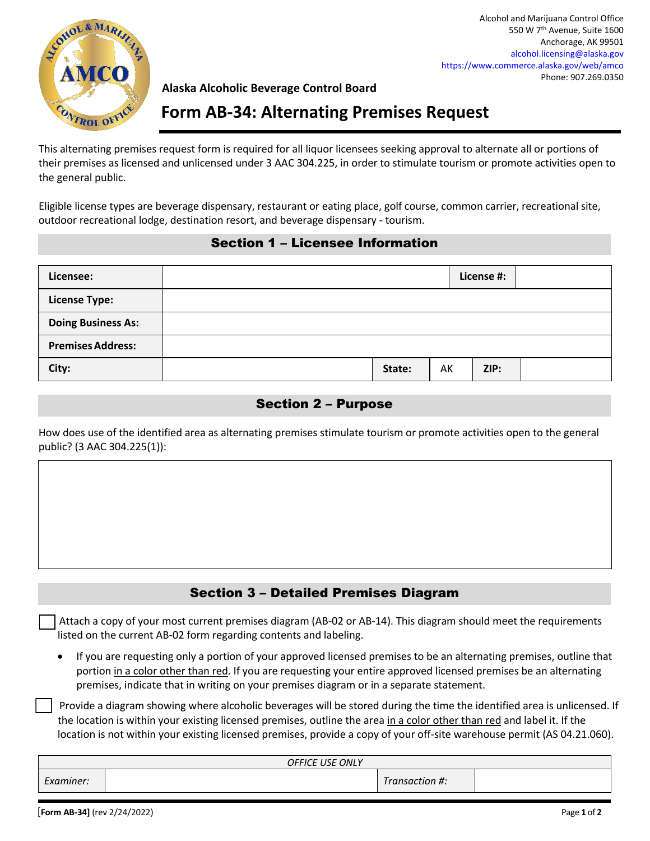

Alcohol and Marijuana Control Office 550 W 7th Avenue, Suite 1600 Anchorage, AK 99501 alcohol.licensing@alaska.gov https://www.commerce.alaska.gov/web/amco Phone: 907.269.0350

#### **Alaska Alcoholic Beverage Control Board**

# **Form AB‐34: Alternating Premises Request**

This alternating premises request form is required for all liquor licensees seeking approval to alternate all or portions of their premises as licensed and unlicensed under 3 AAC 304.225, in order to stimulate tourism or promote activities open to the general public.

Eligible license types are beverage dispensary, restaurant or eating place, golf course, common carrier, recreational site, outdoor recreational lodge, destination resort, and beverage dispensary ‐ tourism.

#### Section 1 – Licensee Information

| Licensee:                 |        |    | License #: |  |
|---------------------------|--------|----|------------|--|
| <b>License Type:</b>      |        |    |            |  |
| <b>Doing Business As:</b> |        |    |            |  |
| <b>Premises Address:</b>  |        |    |            |  |
| City:                     | State: | AK | ZIP:       |  |

#### Section 2 – Purpose

How does use of the identified area as alternating premises stimulate tourism or promote activities open to the general public? (3 AAC 304.225(1)):

## Section 3 – Detailed Premises Diagram

 Attach a copy of your most current premises diagram (AB‐02 or AB‐14). This diagram should meet the requirements listed on the current AB‐02 form regarding contents and labeling.

 If you are requesting only a portion of your approved licensed premises to be an alternating premises, outline that portion in a color other than red. If you are requesting your entire approved licensed premises be an alternating premises, indicate that in writing on your premises diagram or in a separate statement.

 Provide a diagram showing where alcoholic beverages will be stored during the time the identified area is unlicensed. If the location is within your existing licensed premises, outline the area in a color other than red and label it. If the location is not within your existing licensed premises, provide a copy of your off-site warehouse permit (AS 04.21.060).

| <b>OFFICE USE ONLY</b> |  |                |  |  |  |  |
|------------------------|--|----------------|--|--|--|--|
| Examiner:              |  | Transaction #: |  |  |  |  |